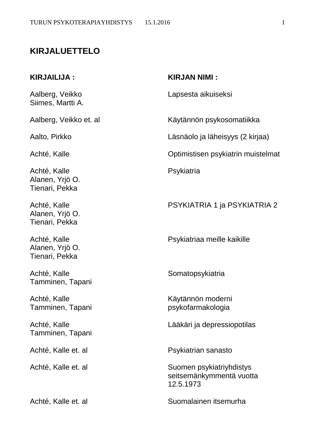# **KIRJALUETTELO**

Siimes, Martti A.

Achté, Kalle Psykiatria Alanen, Yrjö O. Tienari, Pekka

Alanen, Yrjö O. Tienari, Pekka

Alanen, Yrjö O. Tienari, Pekka

Achté, Kalle Somatopsykiatria Tamminen, Tapani

Tamminen, Tapani

#### **KIRJAILIJA : KIRJAN NIMI :**

Aalberg, Veikko Lapsesta aikuiseksi

Aalberg, Veikko et. al Käytännön psykosomatiikka

Aalto, Pirkko Läsnäolo ja läheisyys (2 kirjaa)

Achté, Kalle **Achté**, Kalle **Achté**, Kalle **Achté**, Kalle **Achté**, Kalle **Achté**, Kalle **Achté**, Kalle **Achté**, Kalle **Achté**, Kalle **Achté**, Kalle **Achté**, Kalle **Achté**, Kalle **Achté**, Kalle **Achté**, Kalle **Achté**, Kalle

Achté, Kalle PSYKIATRIA 1 ja PSYKIATRIA 2

Achté, Kalle **Psykiatriaa meille kaikille** 

Achté, Kalle Käytännön moderni Tamminen, Tapani **produkceu karatana tanàna mandritry ary kaominina mpikambana amin'ny fivondronan-kaominina dia mandritry dia kaominina dia kaominina dia kaominina dia kaominina dia kaominina dia kaominina dia kaominina d** 

Achté, Kalle Lääkäri ja depressiopotilas

Achté, Kalle et. al **P**sykiatrian sanasto

Achté, Kalle et. al Suomen psykiatriyhdistys seitsemänkymmentä vuotta 12.5.1973

Achté, Kalle et. al Suomalainen itsemurha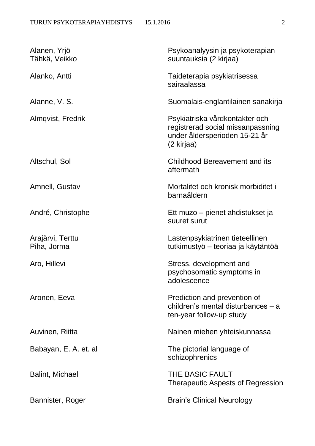## TURUN PSYKOTERAPIAYHDISTYS 15.1.2016 2

| Alanen, Yrjö<br>Tähkä, Veikko   | Psykoanalyysin ja psykoterapian<br>suuntauksia (2 kirjaa)                                                          |
|---------------------------------|--------------------------------------------------------------------------------------------------------------------|
| Alanko, Antti                   | Taideterapia psykiatrisessa<br>sairaalassa                                                                         |
| Alanne, V. S.                   | Suomalais-englantilainen sanakirja                                                                                 |
| Almqvist, Fredrik               | Psykiatriska vårdkontakter och<br>registrerad social missanpassning<br>under åldersperioden 15-21 år<br>(2 kirjaa) |
| Altschul, Sol                   | <b>Childhood Bereavement and its</b><br>aftermath                                                                  |
| Amnell, Gustav                  | Mortalitet och kronisk morbiditet i<br>barnaåldern                                                                 |
| André, Christophe               | Ett muzo – pienet ahdistukset ja<br>suuret surut                                                                   |
| Arajärvi, Terttu<br>Piha, Jorma | Lastenpsykiatrinen tieteellinen<br>tutkimustyö – teoriaa ja käytäntöä                                              |
| Aro, Hillevi                    | Stress, development and<br>psychosomatic symptoms in<br>adolescence                                                |
| Aronen, Eeva                    | Prediction and prevention of<br>children's mental disturbances - a<br>ten-year follow-up study                     |
| Auvinen, Riitta                 | Nainen miehen yhteiskunnassa                                                                                       |
| Babayan, E. A. et. al           | The pictorial language of<br>schizophrenics                                                                        |
| <b>Balint, Michael</b>          | <b>THE BASIC FAULT</b><br><b>Therapeutic Aspests of Regression</b>                                                 |
| Bannister, Roger                | <b>Brain's Clinical Neurology</b>                                                                                  |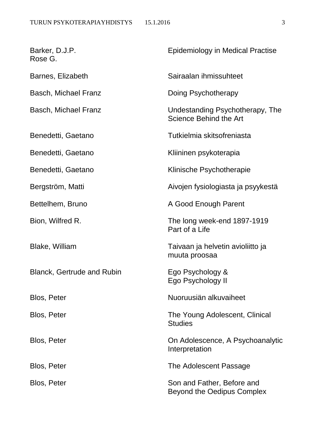| Barker, D.J.P.<br>Rose G.         | <b>Epidemiology in Medical Practise</b>                         |
|-----------------------------------|-----------------------------------------------------------------|
| Barnes, Elizabeth                 | Sairaalan ihmissuhteet                                          |
| <b>Basch, Michael Franz</b>       | Doing Psychotherapy                                             |
| <b>Basch, Michael Franz</b>       | Undestanding Psychotherapy, The<br>Science Behind the Art       |
| Benedetti, Gaetano                | Tutkielmia skitsofreniasta                                      |
| Benedetti, Gaetano                | Kliininen psykoterapia                                          |
| Benedetti, Gaetano                | Klinische Psychotherapie                                        |
| Bergström, Matti                  | Aivojen fysiologiasta ja psyykestä                              |
| Bettelhem, Bruno                  | A Good Enough Parent                                            |
| Bion, Wilfred R.                  | The long week-end 1897-1919<br>Part of a Life                   |
| <b>Blake, William</b>             | Taivaan ja helvetin avioliitto ja<br>muuta proosaa              |
| <b>Blanck, Gertrude and Rubin</b> | Ego Psychology &<br>Ego Psychology II                           |
| <b>Blos, Peter</b>                | Nuoruusiän alkuvaiheet                                          |
| <b>Blos, Peter</b>                | The Young Adolescent, Clinical<br><b>Studies</b>                |
| Blos, Peter                       | On Adolescence, A Psychoanalytic<br>Interpretation              |
| <b>Blos, Peter</b>                | The Adolescent Passage                                          |
| <b>Blos, Peter</b>                | Son and Father, Before and<br><b>Beyond the Oedipus Complex</b> |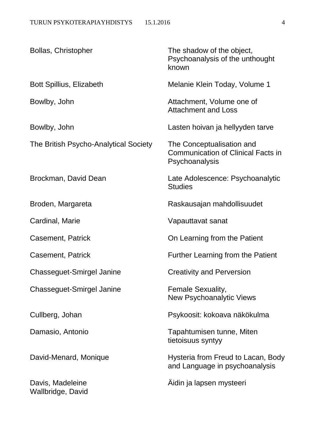| Bollas, Christopher                   | The shadow of the object,<br>Psychoanalysis of the unthought<br>known                    |
|---------------------------------------|------------------------------------------------------------------------------------------|
| <b>Bott Spillius, Elizabeth</b>       | Melanie Klein Today, Volume 1                                                            |
| Bowlby, John                          | Attachment, Volume one of<br><b>Attachment and Loss</b>                                  |
| Bowlby, John                          | Lasten hoivan ja hellyyden tarve                                                         |
| The British Psycho-Analytical Society | The Conceptualisation and<br><b>Communication of Clinical Facts in</b><br>Psychoanalysis |
| Brockman, David Dean                  | Late Adolescence: Psychoanalytic<br><b>Studies</b>                                       |
| Broden, Margareta                     | Raskausajan mahdollisuudet                                                               |
| Cardinal, Marie                       | Vapauttavat sanat                                                                        |
| Casement, Patrick                     | On Learning from the Patient                                                             |
| <b>Casement, Patrick</b>              | <b>Further Learning from the Patient</b>                                                 |
| Chasseguet-Smirgel Janine             | <b>Creativity and Perversion</b>                                                         |
| <b>Chasseguet-Smirgel Janine</b>      | Female Sexuality,<br><b>New Psychoanalytic Views</b>                                     |
| Cullberg, Johan                       | Psykoosit: kokoava näkökulma                                                             |
| Damasio, Antonio                      | Tapahtumisen tunne, Miten<br>tietoisuus syntyy                                           |
| David-Menard, Monique                 | Hysteria from Freud to Lacan, Body<br>and Language in psychoanalysis                     |
| Davis, Madeleine<br>Wallbridge, David | Aidin ja lapsen mysteeri                                                                 |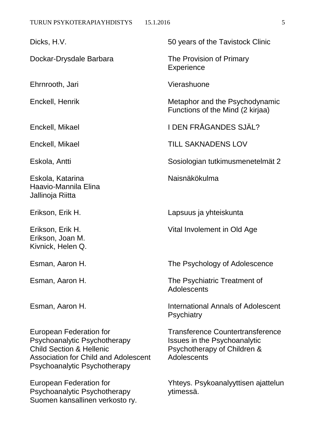Dockar-Drysdale Barbara The Provision of Primary

Ehrnrooth, Jari Vierashuone

Eskola, Katarina Naisnäkökulma Haavio-Mannila Elina Jallinoja Riitta

Erikson, Joan M. Kivnick, Helen Q.

Psychoanalytic Psychotherapy Issues in the Psychoanalytic Child Section & Hellenic Psychotherapy of Children & Association for Child and Adolescent Adolescents Psychoanalytic Psychotherapy

Psychoanalytic Psychotherapy vtimessä. Suomen kansallinen verkosto ry.

Dicks, H.V. 50 years of the Tavistock Clinic

**Experience** 

Enckell, Henrik Metaphor and the Psychodynamic Functions of the Mind (2 kirjaa)

Enckell, Mikael I DEN FRÅGANDES SJÄL?

Enckell, Mikael **TILL SAKNADENS LOV** 

Eskola, Antti Sosiologian tutkimusmenetelmät 2

Erikson, Erik H. Lapsuus ja yhteiskunta

Erikson, Erik H. Vital Involement in Old Age

Esman, Aaron H. The Psychology of Adolescence

Esman, Aaron H. The Psychiatric Treatment of **Adolescents** 

Esman, Aaron H. International Annals of Adolescent **Psychiatry** 

European Federation for Transference Countertransference

European Federation for Yhteys. Psykoanalyyttisen ajattelun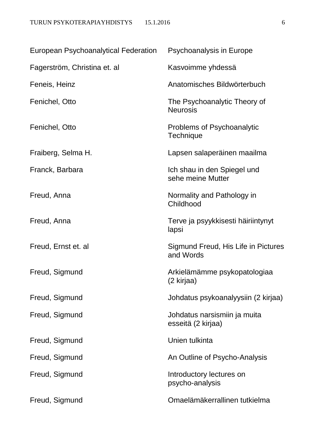| <b>European Psychoanalytical Federation</b> | Psychoanalysis in Europe                           |
|---------------------------------------------|----------------------------------------------------|
| Fagerström, Christina et. al                | Kasvoimme yhdessä                                  |
| Feneis, Heinz                               | Anatomisches Bildwörterbuch                        |
| Fenichel, Otto                              | The Psychoanalytic Theory of<br><b>Neurosis</b>    |
| Fenichel, Otto                              | Problems of Psychoanalytic<br>Technique            |
| Fraiberg, Selma H.                          | Lapsen salaperäinen maailma                        |
| Franck, Barbara                             | Ich shau in den Spiegel und<br>sehe meine Mutter   |
| Freud, Anna                                 | Normality and Pathology in<br>Childhood            |
| Freud, Anna                                 | Terve ja psyykkisesti häiriintynyt<br>lapsi        |
| Freud, Ernst et. al                         | Sigmund Freud, His Life in Pictures<br>and Words   |
| Freud, Sigmund                              | Arkielämämme psykopatologiaa<br>(2 kirjaa)         |
| Freud, Sigmund                              | Johdatus psykoanalyysiin (2 kirjaa)                |
| Freud, Sigmund                              | Johdatus narsismiin ja muita<br>esseitä (2 kirjaa) |
| Freud, Sigmund                              | Unien tulkinta                                     |
| Freud, Sigmund                              | An Outline of Psycho-Analysis                      |
| Freud, Sigmund                              | Introductory lectures on<br>psycho-analysis        |
| Freud, Sigmund                              | Omaelämäkerrallinen tutkielma                      |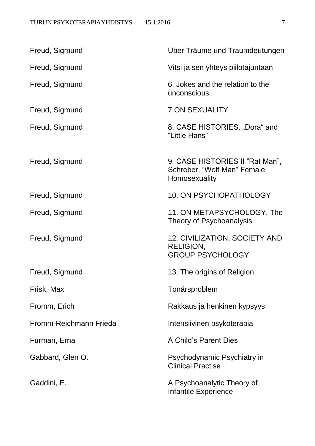| Freud, Sigmund         | Uber Träume und Traumdeutungen                                                  |
|------------------------|---------------------------------------------------------------------------------|
| Freud, Sigmund         | Vitsi ja sen yhteys piilotajuntaan                                              |
| Freud, Sigmund         | 6. Jokes and the relation to the<br>unconscious                                 |
| Freud, Sigmund         | <b>7.ON SEXUALITY</b>                                                           |
| Freud, Sigmund         | 8. CASE HISTORIES, "Dora" and<br>"Little Hans"                                  |
| Freud, Sigmund         | 9. CASE HISTORIES II "Rat Man",<br>Schreber, "Wolf Man" Female<br>Homosexuality |
| Freud, Sigmund         | 10. ON PSYCHOPATHOLOGY                                                          |
| Freud, Sigmund         | 11. ON METAPSYCHOLOGY, The<br>Theory of Psychoanalysis                          |
| Freud, Sigmund         | 12. CIVILIZATION, SOCIETY AND<br>RELIGION,<br><b>GROUP PSYCHOLOGY</b>           |
| Freud, Sigmund         | 13. The origins of Religion                                                     |
| Frisk, Max             | Tonårsproblem                                                                   |
| Fromm, Erich           | Rakkaus ja henkinen kypsyys                                                     |
| Fromm-Reichmann Frieda | Intensiivinen psykoterapia                                                      |
| Furman, Erna           | A Child's Parent Dies                                                           |
| Gabbard, Glen O.       | Psychodynamic Psychiatry in<br><b>Clinical Practise</b>                         |
| Gaddini, E.            | A Psychoanalytic Theory of<br><b>Infantile Experience</b>                       |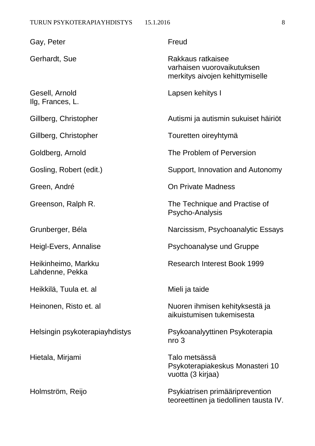| Gay, Peter                             | Freud                                                                              |
|----------------------------------------|------------------------------------------------------------------------------------|
| Gerhardt, Sue                          | Rakkaus ratkaisee<br>varhaisen vuorovaikutuksen<br>merkitys aivojen kehittymiselle |
| Gesell, Arnold<br>Ilg, Frances, L.     | Lapsen kehitys I                                                                   |
| Gillberg, Christopher                  | Autismi ja autismin sukuiset häiriöt                                               |
| Gillberg, Christopher                  | Touretten oireyhtymä                                                               |
| Goldberg, Arnold                       | The Problem of Perversion                                                          |
| Gosling, Robert (edit.)                | Support, Innovation and Autonomy                                                   |
| Green, André                           | On Private Madness                                                                 |
| Greenson, Ralph R.                     | The Technique and Practise of<br>Psycho-Analysis                                   |
| Grunberger, Béla                       | Narcissism, Psychoanalytic Essays                                                  |
| Heigl-Evers, Annalise                  | <b>Psychoanalyse und Gruppe</b>                                                    |
| Heikinheimo, Markku<br>Lahdenne, Pekka | <b>Research Interest Book 1999</b>                                                 |
| Heikkilä, Tuula et. al                 | Mieli ja taide                                                                     |
| Heinonen, Risto et. al                 | Nuoren ihmisen kehityksestä ja<br>aikuistumisen tukemisesta                        |
| Helsingin psykoterapiayhdistys         | Psykoanalyyttinen Psykoterapia<br>nro <sub>3</sub>                                 |
| Hietala, Mirjami                       | Talo metsässä<br>Psykoterapiakeskus Monasteri 10<br>vuotta (3 kirjaa)              |

Holmström, Reijo **Psykiatrisen primääriprevention** teoreettinen ja tiedollinen tausta IV.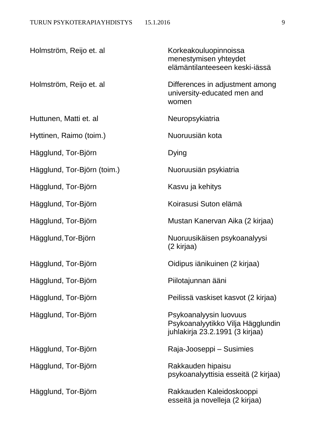| Holmström, Reijo et. al     | Korkeakouluopinnoissa<br>menestymisen yhteydet<br>elämäntilanteeseen keski-iässä               |
|-----------------------------|------------------------------------------------------------------------------------------------|
| Holmström, Reijo et. al     | Differences in adjustment among<br>university-educated men and<br>women                        |
| Huttunen, Matti et. al      | Neuropsykiatria                                                                                |
| Hyttinen, Raimo (toim.)     | Nuoruusiän kota                                                                                |
| Hägglund, Tor-Björn         | <b>Dying</b>                                                                                   |
| Hägglund, Tor-Björn (toim.) | Nuoruusiän psykiatria                                                                          |
| Hägglund, Tor-Björn         | Kasvu ja kehitys                                                                               |
| Hägglund, Tor-Björn         | Koirasusi Suton elämä                                                                          |
| Hägglund, Tor-Björn         | Mustan Kanervan Aika (2 kirjaa)                                                                |
| Hägglund, Tor-Björn         | Nuoruusikäisen psykoanalyysi<br>(2 kirjaa)                                                     |
| Hägglund, Tor-Björn         | Oidipus iänikuinen (2 kirjaa)                                                                  |
| Hägglund, Tor-Björn         | Piilotajunnan ääni                                                                             |
| Hägglund, Tor-Björn         | Peilissä vaskiset kasvot (2 kirjaa)                                                            |
| Hägglund, Tor-Björn         | Psykoanalyysin luovuus<br>Psykoanalyytikko Vilja Hägglundin<br>juhlakirja 23.2.1991 (3 kirjaa) |
| Hägglund, Tor-Björn         | Raja-Jooseppi – Susimies                                                                       |
| Hägglund, Tor-Björn         | Rakkauden hipaisu<br>psykoanalyyttisia esseitä (2 kirjaa)                                      |
| Hägglund, Tor-Björn         | Rakkauden Kaleidoskooppi<br>esseitä ja novelleja (2 kirjaa)                                    |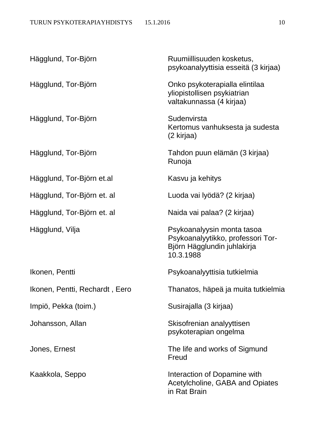| Hägglund, Tor-Björn            | Ruumiillisuuden kosketus,<br>psykoanalyyttisia esseitä (3 kirjaa)                                           |
|--------------------------------|-------------------------------------------------------------------------------------------------------------|
| Hägglund, Tor-Björn            | Onko psykoterapialla elintilaa<br>yliopistollisen psykiatrian<br>valtakunnassa (4 kirjaa)                   |
| Hägglund, Tor-Björn            | Sudenvirsta<br>Kertomus vanhuksesta ja sudesta<br>(2 kirjaa)                                                |
| Hägglund, Tor-Björn            | Tahdon puun elämän (3 kirjaa)<br>Runoja                                                                     |
| Hägglund, Tor-Björn et.al      | Kasvu ja kehitys                                                                                            |
| Hägglund, Tor-Björn et. al     | Luoda vai lyödä? (2 kirjaa)                                                                                 |
| Hägglund, Tor-Björn et. al     | Naida vai palaa? (2 kirjaa)                                                                                 |
| Hägglund, Vilja                | Psykoanalyysin monta tasoa<br>Psykoanalyytikko, professori Tor-<br>Björn Hägglundin juhlakirja<br>10.3.1988 |
| Ikonen, Pentti                 | Psykoanalyyttisia tutkielmia                                                                                |
| Ikonen, Pentti, Rechardt, Eero | Thanatos, häpeä ja muita tutkielmia                                                                         |
| Impiö, Pekka (toim.)           | Susirajalla (3 kirjaa)                                                                                      |
| Johansson, Allan               | Skisofrenian analyyttisen<br>psykoterapian ongelma                                                          |
| Jones, Ernest                  | The life and works of Sigmund<br>Freud                                                                      |
| Kaakkola, Seppo                | Interaction of Dopamine with<br>Acetylcholine, GABA and Opiates<br>in Rat Brain                             |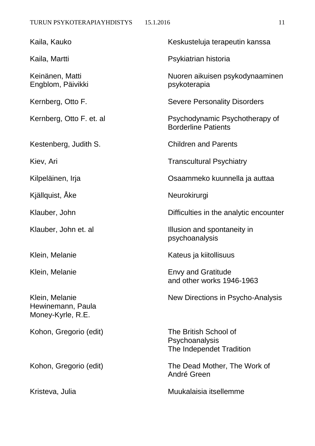Kaila, Kauko Keskusteluja terapeutin kanssa Kaila, Martti **Artica Accessity Contract Access** Psykiatrian historia Keinänen, Matti Nuoren aikuisen psykodynaaminen Engblom, Päivikki psykoterapia Kernberg, Otto F. Severe Personality Disorders Kernberg, Otto F. et. al Psychodynamic Psychotherapy of Borderline Patients Kestenberg, Judith S. Children and Parents Kiev, Ari **Transcultural Psychiatry** Kilpeläinen, Irja Osaammeko kuunnella ja auttaa Kjällquist, Åke Neurokirurgi Klauber, John **Difficulties in the analytic encounter** Klauber, John et. al **Illusion** and spontaneity in psychoanalysis Klein, Melanie Kateus ja kiitollisuus Klein, Melanie **Envy and Gratitude** and other works 1946-1963 Klein, Melanie New Directions in Psycho-Analysis Hewinemann, Paula Money-Kyrle, R.E. Kohon, Gregorio (edit) The British School of **Psychoanalysis** The Independet Tradition

Kohon, Gregorio (edit) The Dead Mother, The Work of André Green

Kristeva, Julia Muukalaisia itsellemme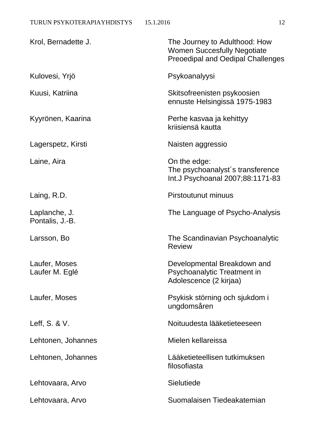| Krol, Bernadette J.              | The Journey to Adulthood: How<br><b>Women Succesfully Negotiate</b><br><b>Preoedipal and Oedipal Challenges</b> |
|----------------------------------|-----------------------------------------------------------------------------------------------------------------|
| Kulovesi, Yrjö                   | Psykoanalyysi                                                                                                   |
| Kuusi, Katriina                  | Skitsofreenisten psykoosien<br>ennuste Helsingissä 1975-1983                                                    |
| Kyyrönen, Kaarina                | Perhe kasvaa ja kehittyy<br>kriisiensä kautta                                                                   |
| Lagerspetz, Kirsti               | Naisten aggressio                                                                                               |
| Laine, Aira                      | On the edge:<br>The psychoanalyst's transference<br>Int.J Psychoanal 2007;88:1171-83                            |
| Laing, R.D.                      | <b>Pirstoutunut minuus</b>                                                                                      |
| Laplanche, J.<br>Pontalis, J.-B. | The Language of Psycho-Analysis                                                                                 |
| Larsson, Bo                      | The Scandinavian Psychoanalytic<br><b>Review</b>                                                                |
| Laufer, Moses<br>Laufer M. Eglé  | Developmental Breakdown and<br>Psychoanalytic Treatment in<br>Adolescence (2 kirjaa)                            |
| Laufer, Moses                    | Psykisk störning och sjukdom i<br>ungdomsåren                                                                   |
| Leff, S. & V.                    | Noituudesta lääketieteeseen                                                                                     |
| Lehtonen, Johannes               | Mielen kellareissa                                                                                              |
| Lehtonen, Johannes               | Lääketieteellisen tutkimuksen<br>filosofiasta                                                                   |
| Lehtovaara, Arvo                 | <b>Sielutiede</b>                                                                                               |
| Lehtovaara, Arvo                 | Suomalaisen Tiedeakatemian                                                                                      |
|                                  |                                                                                                                 |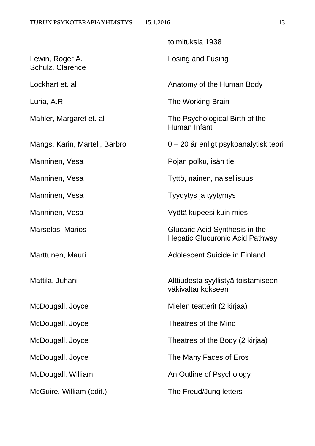|                                     | toimituksia 1938                                                         |
|-------------------------------------|--------------------------------------------------------------------------|
| Lewin, Roger A.<br>Schulz, Clarence | Losing and Fusing                                                        |
| Lockhart et. al                     | Anatomy of the Human Body                                                |
| Luria, A.R.                         | The Working Brain                                                        |
| Mahler, Margaret et. al             | The Psychological Birth of the<br>Human Infant                           |
| Mangs, Karin, Martell, Barbro       | 0 – 20 år enligt psykoanalytisk teori                                    |
| Manninen, Vesa                      | Pojan polku, isän tie                                                    |
| Manninen, Vesa                      | Tyttö, nainen, naisellisuus                                              |
| Manninen, Vesa                      | Tyydytys ja tyytymys                                                     |
| Manninen, Vesa                      | Vyötä kupeesi kuin mies                                                  |
| Marselos, Marios                    | Glucaric Acid Synthesis in the<br><b>Hepatic Glucuronic Acid Pathway</b> |
| Marttunen, Mauri                    | Adolescent Suicide in Finland                                            |
| Mattila, Juhani                     | Alttiudesta syyllistyä toistamiseen<br>väkivaltarikokseen                |
| McDougall, Joyce                    | Mielen teatterit (2 kirjaa)                                              |
| McDougall, Joyce                    | <b>Theatres of the Mind</b>                                              |
| McDougall, Joyce                    | Theatres of the Body (2 kirjaa)                                          |
| McDougall, Joyce                    | The Many Faces of Eros                                                   |
| McDougall, William                  | An Outline of Psychology                                                 |
| McGuire, William (edit.)            | The Freud/Jung letters                                                   |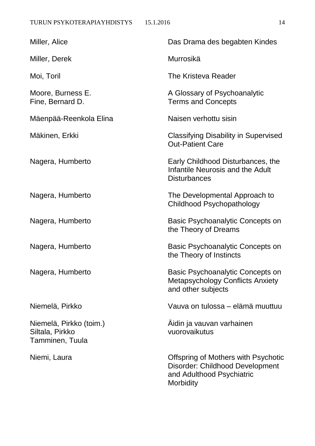| Miller, Alice                                                 | Das Drama des begabten Kindes                                                                                    |
|---------------------------------------------------------------|------------------------------------------------------------------------------------------------------------------|
| Miller, Derek                                                 | Murrosikä                                                                                                        |
| Moi, Toril                                                    | The Kristeva Reader                                                                                              |
| Moore, Burness E.<br>Fine, Bernard D.                         | A Glossary of Psychoanalytic<br><b>Terms and Concepts</b>                                                        |
| Mäenpää-Reenkola Elina                                        | Naisen verhottu sisin                                                                                            |
| Mäkinen, Erkki                                                | <b>Classifying Disability in Supervised</b><br><b>Out-Patient Care</b>                                           |
| Nagera, Humberto                                              | Early Childhood Disturbances, the<br>Infantile Neurosis and the Adult<br><b>Disturbances</b>                     |
| Nagera, Humberto                                              | The Developmental Approach to<br>Childhood Psychopathology                                                       |
| Nagera, Humberto                                              | Basic Psychoanalytic Concepts on<br>the Theory of Dreams                                                         |
| Nagera, Humberto                                              | Basic Psychoanalytic Concepts on<br>the Theory of Instincts                                                      |
| Nagera, Humberto                                              | Basic Psychoanalytic Concepts on<br><b>Metapsychology Conflicts Anxiety</b><br>and other subjects                |
| Niemelä, Pirkko                                               | Vauva on tulossa – elämä muuttuu                                                                                 |
| Niemelä, Pirkko (toim.)<br>Siltala, Pirkko<br>Tamminen, Tuula | Äidin ja vauvan varhainen<br>vuorovaikutus                                                                       |
| Niemi, Laura                                                  | Offspring of Mothers with Psychotic<br>Disorder: Childhood Development<br>and Adulthood Psychiatric<br>Morbidity |
|                                                               |                                                                                                                  |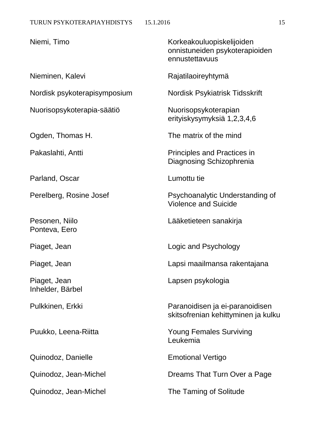| Niemi, Timo                      | Korkeakouluopiskelijoiden<br>onnistuneiden psykoterapioiden<br>ennustettavuus |
|----------------------------------|-------------------------------------------------------------------------------|
| Nieminen, Kalevi                 | Rajatilaoireyhtymä                                                            |
| Nordisk psykoterapisymposium     | Nordisk Psykiatrisk Tidsskrift                                                |
| Nuorisopsykoterapia-säätiö       | Nuorisopsykoterapian<br>erityiskysymyksiä 1,2,3,4,6                           |
| Ogden, Thomas H.                 | The matrix of the mind                                                        |
| Pakaslahti, Antti                | <b>Principles and Practices in</b><br>Diagnosing Schizophrenia                |
| Parland, Oscar                   | Lumottu tie                                                                   |
| Perelberg, Rosine Josef          | Psychoanalytic Understanding of<br><b>Violence and Suicide</b>                |
| Pesonen, Niilo<br>Ponteva, Eero  | Lääketieteen sanakirja                                                        |
| Piaget, Jean                     | Logic and Psychology                                                          |
| Piaget, Jean                     | Lapsi maailmansa rakentajana                                                  |
| Piaget, Jean<br>Inhelder, Bärbel | Lapsen psykologia                                                             |
| Pulkkinen, Erkki                 | Paranoidisen ja ei-paranoidisen<br>skitsofrenian kehittyminen ja kulku        |
| Puukko, Leena-Riitta             | <b>Young Females Surviving</b><br>Leukemia                                    |
| Quinodoz, Danielle               | <b>Emotional Vertigo</b>                                                      |
| Quinodoz, Jean-Michel            | Dreams That Turn Over a Page                                                  |
| Quinodoz, Jean-Michel            | The Taming of Solitude                                                        |
|                                  |                                                                               |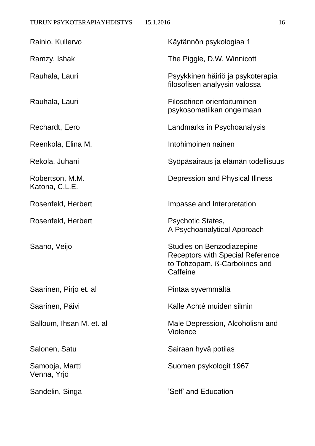| Rainio, Kullervo                  | Käytännön psykologiaa 1                                                                                            |
|-----------------------------------|--------------------------------------------------------------------------------------------------------------------|
| Ramzy, Ishak                      | The Piggle, D.W. Winnicott                                                                                         |
| Rauhala, Lauri                    | Psyykkinen häiriö ja psykoterapia<br>filosofisen analyysin valossa                                                 |
| Rauhala, Lauri                    | Filosofinen orientoituminen<br>psykosomatiikan ongelmaan                                                           |
| Rechardt, Eero                    | Landmarks in Psychoanalysis                                                                                        |
| Reenkola, Elina M.                | Intohimoinen nainen                                                                                                |
| Rekola, Juhani                    | Syöpäsairaus ja elämän todellisuus                                                                                 |
| Robertson, M.M.<br>Katona, C.L.E. | Depression and Physical Illness                                                                                    |
| Rosenfeld, Herbert                | Impasse and Interpretation                                                                                         |
| Rosenfeld, Herbert                | <b>Psychotic States,</b><br>A Psychoanalytical Approach                                                            |
| Saano, Veijo                      | Studies on Benzodiazepine<br><b>Receptors with Special Reference</b><br>to Tofizopam, B-Carbolines and<br>Caffeine |
| Saarinen, Pirjo et. al            | Pintaa syvemmältä                                                                                                  |
| Saarinen, Päivi                   | Kalle Achté muiden silmin                                                                                          |
| Salloum, Ihsan M. et. al          | Male Depression, Alcoholism and<br><b>Violence</b>                                                                 |
| Salonen, Satu                     | Sairaan hyvä potilas                                                                                               |
| Samooja, Martti<br>Venna, Yrjö    | Suomen psykologit 1967                                                                                             |
| Sandelin, Singa                   | 'Self' and Education                                                                                               |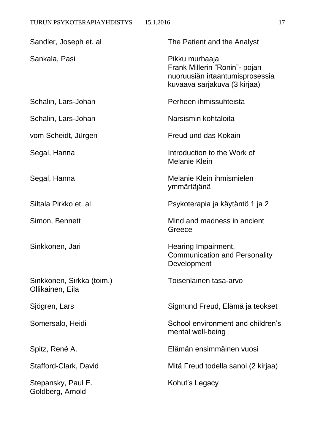| Sandler, Joseph et. al                        | The Patient and the Analyst                                                                                        |
|-----------------------------------------------|--------------------------------------------------------------------------------------------------------------------|
| Sankala, Pasi                                 | Pikku murhaaja<br>Frank Millerin "Ronin"- pojan<br>nuoruusiän irtaantumisprosessia<br>kuvaava sarjakuva (3 kirjaa) |
| Schalin, Lars-Johan                           | Perheen ihmissuhteista                                                                                             |
| Schalin, Lars-Johan                           | Narsismin kohtaloita                                                                                               |
| vom Scheidt, Jürgen                           | Freud und das Kokain                                                                                               |
| Segal, Hanna                                  | Introduction to the Work of<br><b>Melanie Klein</b>                                                                |
| Segal, Hanna                                  | Melanie Klein ihmismielen<br>ymmärtäjänä                                                                           |
| Siltala Pirkko et. al                         | Psykoterapia ja käytäntö 1 ja 2                                                                                    |
| Simon, Bennett                                | Mind and madness in ancient<br>Greece                                                                              |
| Sinkkonen, Jari                               | Hearing Impairment,<br><b>Communication and Personality</b><br>Development                                         |
| Sinkkonen, Sirkka (toim.)<br>Ollikainen, Eila | Toisenlainen tasa-arvo                                                                                             |
| Sjögren, Lars                                 | Sigmund Freud, Elämä ja teokset                                                                                    |
| Somersalo, Heidi                              | School environment and children's<br>mental well-being                                                             |
| Spitz, René A.                                | Elämän ensimmäinen vuosi                                                                                           |
| Stafford-Clark, David                         | Mitä Freud todella sanoi (2 kirjaa)                                                                                |
| Stepansky, Paul E.<br>Goldberg, Arnold        | Kohut's Legacy                                                                                                     |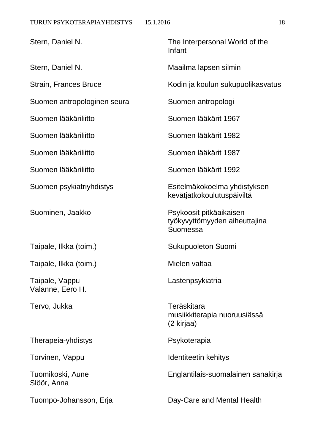Stern, Daniel N. Stern, Daniel N. Stern, Daniel N. Stern, Daniel N. Stern, Daniel N. Stern, Daniel N. Stern, I Infant Stern, Daniel N. Maailma lapsen silmin Strain, Frances Bruce Kodin ja koulun sukupuolikasvatus Suomen antropologinen seura Suomen antropologi Suomen lääkäriliitto Suomen lääkärit 1967 Suomen lääkäriliitto Suomen lääkärit 1982 Suomen lääkäriliitto Suomen lääkärit 1987 Suomen lääkäriliitto Suomen lääkärit 1992 Suomen psykiatriyhdistys Esitelmäkokoelma yhdistyksen kevätjatkokoulutuspäiviltä Suominen, Jaakko Psykoosit pitkäaikaisen työkyvyttömyyden aiheuttajina Suomessa Taipale, Ilkka (toim.) Sukupuoleton Suomi Taipale, Ilkka (toim.) Taipale, Mielen valtaa Taipale, Vappu Lastenpsykiatria Tervo, Jukka Teräskitara musiikkiterapia nuoruusiässä (2 kirjaa)

Torvinen, Vappu **Identiteetin kehitys** 

Tuomikoski, Aune Englantilais-suomalainen sanakirja

Tuompo-Johansson, Erja Day-Care and Mental Health

Valanne, Eero H.

Therapeia-yhdistys **Psykoterapia** 

Slöör, Anna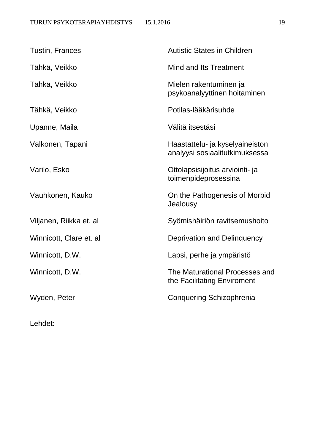| <b>Tustin, Frances</b>  | <b>Autistic States in Children</b>                                |
|-------------------------|-------------------------------------------------------------------|
| Tähkä, Veikko           | Mind and Its Treatment                                            |
| Tähkä, Veikko           | Mielen rakentuminen ja<br>psykoanalyyttinen hoitaminen            |
| Tähkä, Veikko           | Potilas-lääkärisuhde                                              |
| Upanne, Maila           | Välitä itsestäsi                                                  |
| Valkonen, Tapani        | Haastattelu- ja kyselyaineiston<br>analyysi sosiaalitutkimuksessa |
| Varilo, Esko            | Ottolapsisijoitus arviointi- ja<br>toimenpideprosessina           |
| Vauhkonen, Kauko        | On the Pathogenesis of Morbid<br>Jealousy                         |
| Viljanen, Riikka et. al | Syömishäiriön ravitsemushoito                                     |
| Winnicott, Clare et. al | Deprivation and Delinquency                                       |
| Winnicott, D.W.         | Lapsi, perhe ja ympäristö                                         |
| Winnicott, D.W.         | The Maturational Processes and<br>the Facilitating Enviroment     |
| Wyden, Peter            | Conquering Schizophrenia                                          |
|                         |                                                                   |

Lehdet: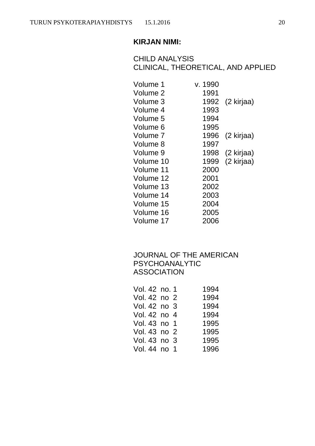CHILD ANALYSIS CLINICAL, THEORETICAL, AND APPLIED

| Volume 1  | v. 1990 |            |
|-----------|---------|------------|
| Volume 2  | 1991    |            |
| Volume 3  | 1992    | (2 kirjaa) |
| Volume 4  | 1993    |            |
| Volume 5  | 1994    |            |
| Volume 6  | 1995    |            |
| Volume 7  | 1996    | (2 kirjaa) |
| Volume 8  | 1997    |            |
| Volume 9  | 1998    | (2 kirjaa) |
| Volume 10 | 1999    | (2 kirjaa) |
| Volume 11 | 2000    |            |
| Volume 12 | 2001    |            |
| Volume 13 | 2002    |            |
| Volume 14 | 2003    |            |
| Volume 15 | 2004    |            |
| Volume 16 | 2005    |            |
| Volume 17 | 2006    |            |

### JOURNAL OF THE AMERICAN PSYCHOANALYTIC ASSOCIATION

| Vol. 42 no. 1 |  | 1994 |
|---------------|--|------|
| Vol. 42 no 2  |  | 1994 |
| Vol. 42 no 3  |  | 1994 |
| Vol. 42 no 4  |  | 1994 |
| Vol. 43 no 1  |  | 1995 |
| Vol. 43 no 2  |  | 1995 |
| Vol. 43 no 3  |  | 1995 |
| Vol. 44 no 1  |  | 1996 |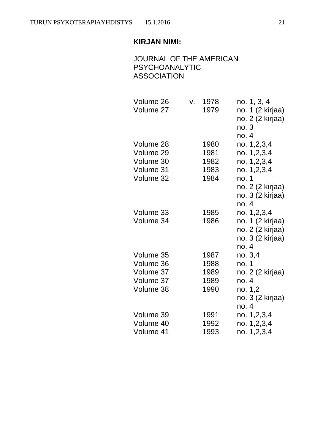## JOURNAL OF THE AMERICAN PSYCHOANALYTIC ASSOCIATION

| Volume 26<br>Volume 27 | V. | 1978<br>1979 | no. 1, 3, 4<br>no. 1 (2 kirjaa)<br>no. 2 (2 kirjaa)<br>no.3<br>no. 4 |
|------------------------|----|--------------|----------------------------------------------------------------------|
| Volume 28              |    | 1980         |                                                                      |
|                        |    |              | no. 1,2,3,4                                                          |
| Volume 29              |    | 1981         | no. 1,2,3,4                                                          |
| Volume 30              |    | 1982         | no. 1,2,3,4                                                          |
| Volume 31              |    | 1983         | no. 1,2,3,4                                                          |
| Volume 32              |    | 1984         | no. 1                                                                |
|                        |    |              | no. 2 (2 kirjaa)                                                     |
|                        |    |              | no. 3 (2 kirjaa)                                                     |
|                        |    |              | no. 4                                                                |
| Volume 33              |    | 1985         | no. 1,2,3,4                                                          |
| Volume 34              |    | 1986         | no. 1 (2 kirjaa)                                                     |
|                        |    |              | no. 2 (2 kirjaa)                                                     |
|                        |    |              | no. 3 (2 kirjaa)                                                     |
|                        |    |              | no. 4                                                                |
| Volume 35              |    | 1987         | no. 3,4                                                              |
| Volume 36              |    | 1988         | no. 1                                                                |
| Volume 37              |    | 1989         | no. 2 (2 kirjaa)                                                     |
| Volume 37              |    | 1989         | no. 4                                                                |
| Volume 38              |    | 1990         |                                                                      |
|                        |    |              | no. 1,2                                                              |
|                        |    |              | no. 3 (2 kirjaa)                                                     |
|                        |    |              | no. 4                                                                |
| Volume 39              |    | 1991         | no. 1,2,3,4                                                          |
| Volume 40              |    | 1992         | no. 1,2,3,4                                                          |
| Volume 41              |    | 1993         | no. 1,2,3,4                                                          |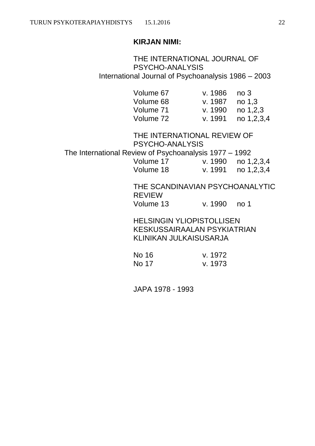THE INTERNATIONAL JOURNAL OF PSYCHO-ANALYSIS International Journal of Psychoanalysis 1986 – 2003

| Volume 67 | v. $1986$ no 3        |            |
|-----------|-----------------------|------------|
| Volume 68 | v. 1987 no 1.3        |            |
| Volume 71 | v. 1990 $\,$ no 1.2.3 |            |
| Volume 72 | v. 1991 -             | no 1,2,3,4 |

THE INTERNATIONAL REVIEW OF PSYCHO-ANALYSIS The International Review of Psychoanalysis 1977 – 1992 Volume 17 v. 1990 no 1,2,3,4 Volume 18 v. 1991 no 1,2,3,4

> THE SCANDINAVIAN PSYCHOANALYTIC REVIEW Volume 13 v. 1990 no 1

HELSINGIN YLIOPISTOLLISEN KESKUSSAIRAALAN PSYKIATRIAN KLINIKAN JULKAISUSARJA

| No 16 | v. 1972 |
|-------|---------|
| No 17 | v. 1973 |

JAPA 1978 - 1993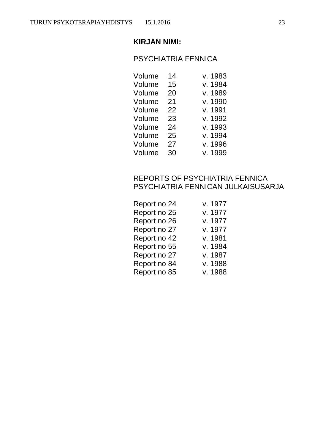## PSYCHIATRIA FENNICA

| Volume | 14 | v. 1983 |
|--------|----|---------|
| Volume | 15 | v. 1984 |
| Volume | 20 | v. 1989 |
| Volume | 21 | v. 1990 |
| Volume | 22 | v. 1991 |
| Volume | 23 | v. 1992 |
| Volume | 24 | v. 1993 |
| Volume | 25 | v. 1994 |
| Volume | 27 | v. 1996 |
| Volume | 30 | v. 1999 |

## REPORTS OF PSYCHIATRIA FENNICA PSYCHIATRIA FENNICAN JULKAISUSARJA

| v. 1977 |
|---------|
| v. 1977 |
| v. 1977 |
| v. 1977 |
| v. 1981 |
| v. 1984 |
| v. 1987 |
| v. 1988 |
| v. 1988 |
|         |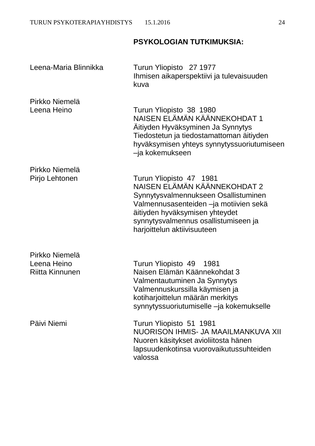# **PSYKOLOGIAN TUTKIMUKSIA:**

| Leena-Maria Blinnikka                                   | Turun Yliopisto 27 1977<br>Ihmisen aikaperspektiivi ja tulevaisuuden<br>kuva                                                                                                                                                                       |
|---------------------------------------------------------|----------------------------------------------------------------------------------------------------------------------------------------------------------------------------------------------------------------------------------------------------|
| Pirkko Niemelä<br>Leena Heino                           | Turun Yliopisto 38 1980<br>NAISEN ELÄMÄN KÄÄNNEKOHDAT 1<br>Aitiyden Hyväksyminen Ja Synnytys<br>Tiedostetun ja tiedostamattoman äitiyden<br>hyväksymisen yhteys synnytyssuoriutumiseen<br>-ja kokemukseen                                          |
| Pirkko Niemelä<br>Pirjo Lehtonen                        | Turun Yliopisto 47 1981<br>NAISEN ELÄMÄN KÄÄNNEKOHDAT 2<br>Synnytysvalmennukseen Osallistuminen<br>Valmennusasenteiden -ja motiivien sekä<br>äitiyden hyväksymisen yhteydet<br>synnytysvalmennus osallistumiseen ja<br>harjoittelun aktiivisuuteen |
| Pirkko Niemelä<br>Leena Heino<br><b>Riitta Kinnunen</b> | Turun Yliopisto 49 1981<br>Naisen Elämän Käännekohdat 3<br>Valmentautuminen Ja Synnytys<br>Valmennuskurssilla käymisen ja<br>kotiharjoittelun määrän merkitys<br>synnytyssuoriutumiselle -ja kokemukselle                                          |
| Päivi Niemi                                             | Turun Yliopisto 51 1981<br>NUORISON IHMIS- JA MAAILMANKUVA XII<br>Nuoren käsitykset avioliitosta hänen<br>lapsuudenkotinsa vuorovaikutussuhteiden<br>valossa                                                                                       |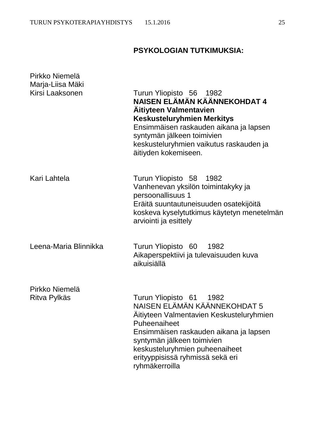# **PSYKOLOGIAN TUTKIMUKSIA:**

| Pirkko Niemelä<br>Marja-Liisa Mäki |                                                                                                                                                                                                                                                                                        |
|------------------------------------|----------------------------------------------------------------------------------------------------------------------------------------------------------------------------------------------------------------------------------------------------------------------------------------|
| Kirsi Laaksonen                    | Turun Yliopisto 56 1982<br>NAISEN ELÄMÄN KÄÄNNEKOHDAT 4<br><b>Aitiyteen Valmentavien</b><br><b>Keskusteluryhmien Merkitys</b><br>Ensimmäisen raskauden aikana ja lapsen<br>syntymän jälkeen toimivien<br>keskusteluryhmien vaikutus raskauden ja<br>äitiyden kokemiseen.               |
| Kari Lahtela                       | Turun Yliopisto 58<br>1982<br>Vanhenevan yksilön toimintakyky ja<br>persoonallisuus 1<br>Eräitä suuntautuneisuuden osatekijöitä<br>koskeva kyselytutkimus käytetyn menetelmän<br>arviointi ja esittely                                                                                 |
| Leena-Maria Blinnikka              | Turun Yliopisto 60 1982<br>Aikaperspektiivi ja tulevaisuuden kuva<br>aikuisiällä                                                                                                                                                                                                       |
| Pirkko Niemelä<br>Ritva Pylkäs     | Turun Yliopisto 61<br>1982<br>NAISEN ELÄMÄN KÄÄNNEKOHDAT 5<br>Aitiyteen Valmentavien Keskusteluryhmien<br>Puheenaiheet<br>Ensimmäisen raskauden aikana ja lapsen<br>syntymän jälkeen toimivien<br>keskusteluryhmien puheenaiheet<br>erityyppisissä ryhmissä sekä eri<br>ryhmäkerroilla |